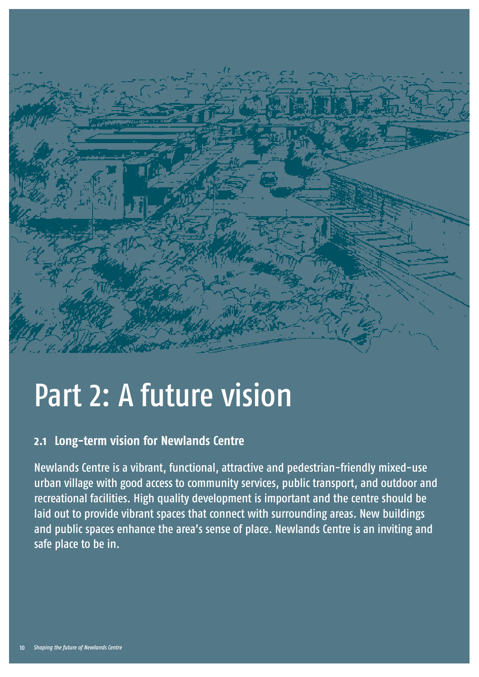

# Part 2: A future vision

# **2.1 Long-term vision for Newlands Centre**

Newlands Centre is a vibrant, functional, attractive and pedestrian-friendly mixed-use urban village with good access to community services, public transport, and outdoor and recreational facilities. High quality development is important and the centre should be laid out to provide vibrant spaces that connect with surrounding areas. New buildings and public spaces enhance the area's sense of place. Newlands Centre is an inviting and safe place to be in.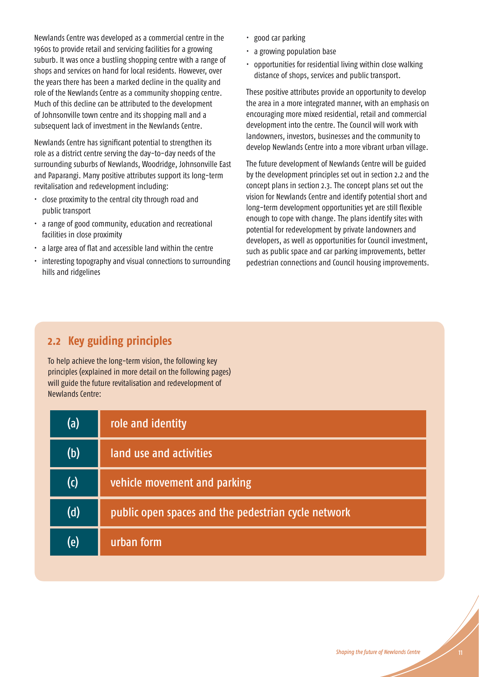Newlands Centre was developed as a commercial centre in the 1960s to provide retail and servicing facilities for a growing suburb. It was once a bustling shopping centre with a range of shops and services on hand for local residents. However, over the years there has been a marked decline in the quality and role of the Newlands Centre as a community shopping centre. Much of this decline can be attributed to the development of Johnsonville town centre and its shopping mall and a subsequent lack of investment in the Newlands Centre.

Newlands Centre has significant potential to strengthen its role as a district centre serving the day-to-day needs of the surrounding suburbs of Newlands, Woodridge, Johnsonville East and Paparangi. Many positive attributes support its long-term revitalisation and redevelopment including:

- close proximity to the central city through road and public transport
- a range of good community, education and recreational facilities in close proximity
- $\cdot$  a large area of flat and accessible land within the centre
- interesting topography and visual connections to surrounding hills and ridgelines
- $\cdot$  good car parking
- a growing population base
- opportunities for residential living within close walking distance of shops, services and public transport.

These positive attributes provide an opportunity to develop the area in a more integrated manner, with an emphasis on encouraging more mixed residential, retail and commercial development into the centre. The Council will work with landowners, investors, businesses and the community to develop Newlands Centre into a more vibrant urban village.

The future development of Newlands Centre will be guided by the development principles set out in section 2.2 and the concept plans in section 2.3. The concept plans set out the vision for Newlands Centre and identify potential short and long-term development opportunities yet are still flexible enough to cope with change. The plans identify sites with potential for redevelopment by private landowners and developers, as well as opportunities for Council investment, such as public space and car parking improvements, better pedestrian connections and Council housing improvements.

# **2.2 Key guiding principles**

To help achieve the long-term vision, the following key principles (explained in more detail on the following pages) will guide the future revitalisation and redevelopment of Newlands Centre:

| (a) | role and identity                                   |
|-----|-----------------------------------------------------|
| (b) | land use and activities                             |
| (c) | vehicle movement and parking                        |
| (d) | public open spaces and the pedestrian cycle network |
| (e) | urban form                                          |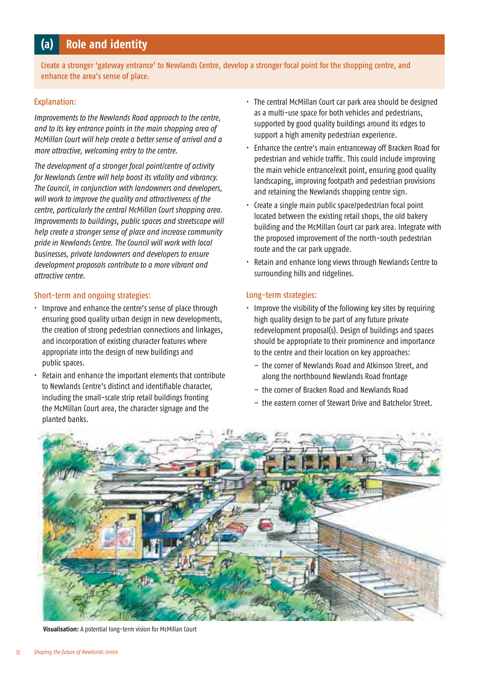# **(a) Role and identity**

Create a stronger 'gateway entrance' to Newlands Centre, develop a stronger focal point for the shopping centre, and enhance the area's sense of place.

### Explanation:

*Improvements to the Newlands Road approach to the centre, and to its key entrance points in the main shopping area of McMillan Court will help create a better sense of arrival and a more attractive, welcoming entry to the centre.* 

*The development of a stronger focal point/centre of activity for Newlands Centre will help boost its vitality and vibrancy. The Council, in conjunction with landowners and developers, will work to improve the quality and attractiveness of the centre, particularly the central McMillan Court shopping area. Improvements to buildings, public spaces and streetscape will help create a stronger sense of place and increase community pride in Newlands Centre. The Council will work with local businesses, private landowners and developers to ensure development proposals contribute to a more vibrant and attractive centre.* 

### Short-term and ongoing strategies:

- Improve and enhance the centre's sense of place through ensuring good quality urban design in new developments, the creation of strong pedestrian connections and linkages, and incorporation of existing character features where appropriate into the design of new buildings and public spaces.
- Retain and enhance the important elements that contribute to Newlands Centre's distinct and identifiable character, including the small-scale strip retail buildings fronting the McMillan Court area, the character signage and the planted banks.
- The central McMillan Court car park area should be designed as a multi-use space for both vehicles and pedestrians, supported by good quality buildings around its edges to support a high amenity pedestrian experience.
- Enhance the centre's main entranceway off Bracken Road for pedestrian and vehicle traffic. This could include improving the main vehicle entrance/exit point, ensuring good quality landscaping, improving footpath and pedestrian provisions and retaining the Newlands shopping centre sign.
- $\cdot$  Create a single main public space/pedestrian focal point located between the existing retail shops, the old bakery building and the McMillan Court car park area. Integrate with the proposed improvement of the north-south pedestrian route and the car park upgrade.
- Retain and enhance long views through Newlands Centre to surrounding hills and ridgelines.

### Long-term strategies:

- Improve the visibility of the following key sites by requiring high quality design to be part of any future private redevelopment proposal(s). Design of buildings and spaces should be appropriate to their prominence and importance to the centre and their location on key approaches:
	- the corner of Newlands Road and Atkinson Street, and along the northbound Newlands Road frontage
	- the corner of Bracken Road and Newlands Road
	- the eastern corner of Stewart Drive and Batchelor Street.



**Visualisation:** A potential long-term vision for McMillan Court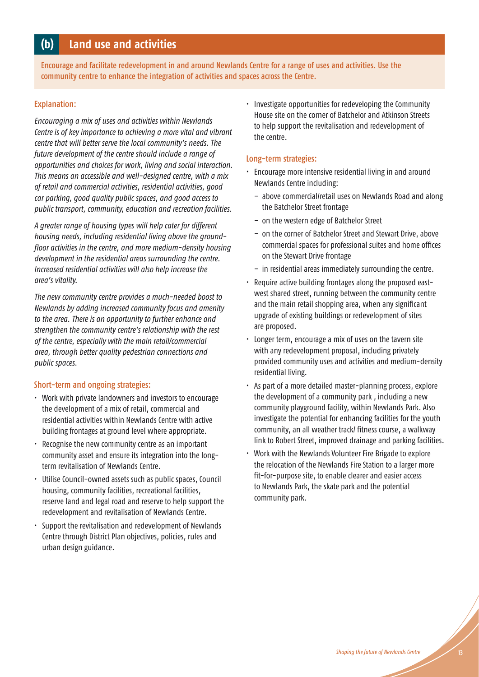# **(b) Land use and activities**

Encourage and facilitate redevelopment in and around Newlands Centre for a range of uses and activities. Use the community centre to enhance the integration of activities and spaces across the Centre.

### Explanation:

*Encouraging a mix of uses and activities within Newlands Centre is of key importance to achieving a more vital and vibrant centre that will better serve the local community's needs. The future development of the centre should include a range of opportunities and choices for work, living and social interaction. This means an accessible and well-designed centre, with a mix of retail and commercial activities, residential activities, good car parking, good quality public spaces, and good access to public transport, community, education and recreation facilities.*

*A greater range of housing types will help cater for different housing needs, including residential living above the groundfloor activities in the centre, and more medium-density housing development in the residential areas surrounding the centre. Increased residential activities will also help increase the area's vitality.*

*The new community centre provides a much-needed boost to Newlands by adding increased community focus and amenity to the area. There is an opportunity to further enhance and strengthen the community centre's relationship with the rest of the centre, especially with the main retail/commercial area, through better quality pedestrian connections and public spaces.*

### Short-term and ongoing strategies:

- Work with private landowners and investors to encourage the development of a mix of retail, commercial and residential activities within Newlands Centre with active building frontages at ground level where appropriate.
- Recognise the new community centre as an important community asset and ensure its integration into the longterm revitalisation of Newlands Centre.
- Utilise Council-owned assets such as public spaces, Council housing, community facilities, recreational facilities, reserve land and legal road and reserve to help support the redevelopment and revitalisation of Newlands Centre.
- Support the revitalisation and redevelopment of Newlands Centre through District Plan objectives, policies, rules and urban design guidance.

• Investigate opportunities for redeveloping the Community House site on the corner of Batchelor and Atkinson Streets to help support the revitalisation and redevelopment of the centre.

### Long-term strategies:

- $\cdot$  Encourage more intensive residential living in and around Newlands Centre including:
	- above commercial/retail uses on Newlands Road and along the Batchelor Street frontage
	- on the western edge of Batchelor Street
	- on the corner of Batchelor Street and Stewart Drive, above commercial spaces for professional suites and home offices on the Stewart Drive frontage
	- in residential areas immediately surrounding the centre.
- $\cdot$  Require active building frontages along the proposed eastwest shared street, running between the community centre and the main retail shopping area, when any significant upgrade of existing buildings or redevelopment of sites are proposed.
- Longer term, encourage a mix of uses on the tavern site with any redevelopment proposal, including privately provided community uses and activities and medium-density residential living.
- As part of a more detailed master-planning process, explore the development of a community park , including a new community playground facility, within Newlands Park. Also investigate the potential for enhancing facilities for the youth community, an all weather track/ fitness course, a walkway link to Robert Street, improved drainage and parking facilities.
- Work with the Newlands Volunteer Fire Brigade to explore the relocation of the Newlands Fire Station to a larger more fit-for-purpose site, to enable clearer and easier access to Newlands Park, the skate park and the potential community park.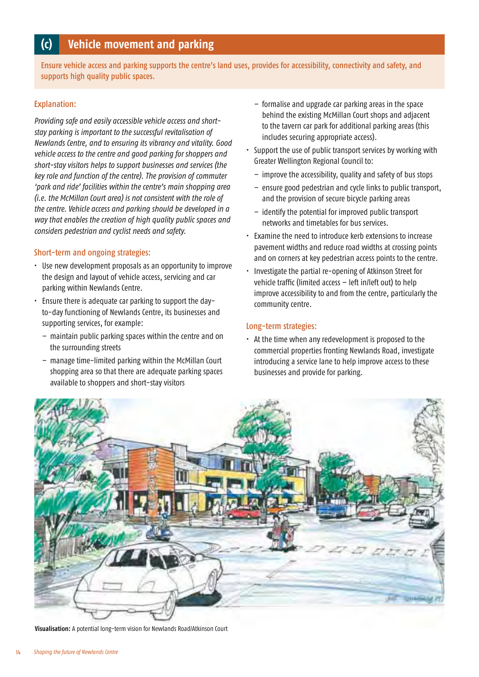# **(c) Vehicle movement and parking**

Ensure vehicle access and parking supports the centre's land uses, provides for accessibility, connectivity and safety, and supports high quality public spaces.

### Explanation:

*Providing safe and easily accessible vehicle access and shortstay parking is important to the successful revitalisation of Newlands Centre, and to ensuring its vibrancy and vitality. Good vehicle access to the centre and good parking for shoppers and short-stay visitors helps to support businesses and services (the key role and function of the centre). The provision of commuter 'park and ride' facilities within the centre's main shopping area (i.e. the McMillan Court area) is not consistent with the role of the centre. Vehicle access and parking should be developed in a way that enables the creation of high quality public spaces and considers pedestrian and cyclist needs and safety.*

### Short-term and ongoing strategies:

- Use new development proposals as an opportunity to improve the design and layout of vehicle access, servicing and car parking within Newlands Centre.
- Ensure there is adequate car parking to support the dayto-day functioning of Newlands Centre, its businesses and supporting services, for example:
	- maintain public parking spaces within the centre and on the surrounding streets
	- manage time-limited parking within the McMillan Court shopping area so that there are adequate parking spaces available to shoppers and short-stay visitors
- formalise and upgrade car parking areas in the space behind the existing McMillan Court shops and adjacent to the tavern car park for additional parking areas (this includes securing appropriate access).
- Support the use of public transport services by working with Greater Wellington Regional Council to:
	- improve the accessibility, quality and safety of bus stops
	- ensure good pedestrian and cycle links to public transport, and the provision of secure bicycle parking areas
	- identify the potential for improved public transport networks and timetables for bus services.
- Examine the need to introduce kerb extensions to increase pavement widths and reduce road widths at crossing points and on corners at key pedestrian access points to the centre.
- Investigate the partial re-opening of Atkinson Street for vehicle traffic (limited access – left in/left out) to help improve accessibility to and from the centre, particularly the community centre.

### Long-term strategies:

 $\cdot$  At the time when any redevelopment is proposed to the commercial properties fronting Newlands Road, investigate introducing a service lane to help improve access to these businesses and provide for parking.



**Visualisation:** A potential long-term vision for Newlands Road/Atkinson Court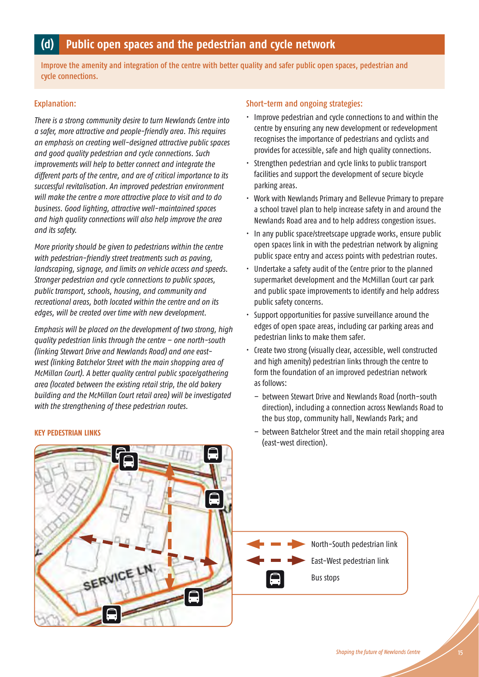# **(d) Public open spaces and the pedestrian and cycle network**

Improve the amenity and integration of the centre with better quality and safer public open spaces, pedestrian and cycle connections.

### Explanation:

*There is a strong community desire to turn Newlands Centre into a safer, more attractive and people-friendly area. This requires an emphasis on creating well-designed attractive public spaces and good quality pedestrian and cycle connections. Such improvements will help to better connect and integrate the different parts of the centre, and are of critical importance to its successful revitalisation. An improved pedestrian environment will make the centre a more attractive place to visit and to do business. Good lighting, attractive well-maintained spaces and high quality connections will also help improve the area and its safety.* 

*More priority should be given to pedestrians within the centre with pedestrian-friendly street treatments such as paving, landscaping, signage, and limits on vehicle access and speeds. Stronger pedestrian and cycle connections to public spaces, public transport, schools, housing, and community and recreational areas, both located within the centre and on its edges, will be created over time with new development.* 

*Emphasis will be placed on the development of two strong, high quality pedestrian links through the centre – one north-south (linking Stewart Drive and Newlands Road) and one eastwest (linking Batchelor Street with the main shopping area of McMillan Court). A better quality central public space/gathering area (located between the existing retail strip, the old bakery building and the McMillan Court retail area) will be investigated with the strengthening of these pedestrian routes.*

### **KEY PEDESTRIAN LINKS**

### Short-term and ongoing strategies:

- $\cdot$  Improve pedestrian and cycle connections to and within the centre by ensuring any new development or redevelopment recognises the importance of pedestrians and cyclists and provides for accessible, safe and high quality connections.
- Strengthen pedestrian and cycle links to public transport facilities and support the development of secure bicycle parking areas.
- Work with Newlands Primary and Bellevue Primary to prepare a school travel plan to help increase safety in and around the Newlands Road area and to help address congestion issues.
- In any public space/streetscape upgrade works, ensure public open spaces link in with the pedestrian network by aligning public space entry and access points with pedestrian routes.
- Undertake a safety audit of the Centre prior to the planned supermarket development and the McMillan Court car park and public space improvements to identify and help address public safety concerns.
- Support opportunities for passive surveillance around the edges of open space areas, including car parking areas and pedestrian links to make them safer.
- Create two strong (visually clear, accessible, well constructed and high amenity) pedestrian links through the centre to form the foundation of an improved pedestrian network as follows:
	- between Stewart Drive and Newlands Road (north-south direction), including a connection across Newlands Road to the bus stop, community hall, Newlands Park; and
	- between Batchelor Street and the main retail shopping area (east-west direction).

North-South pedestrian link

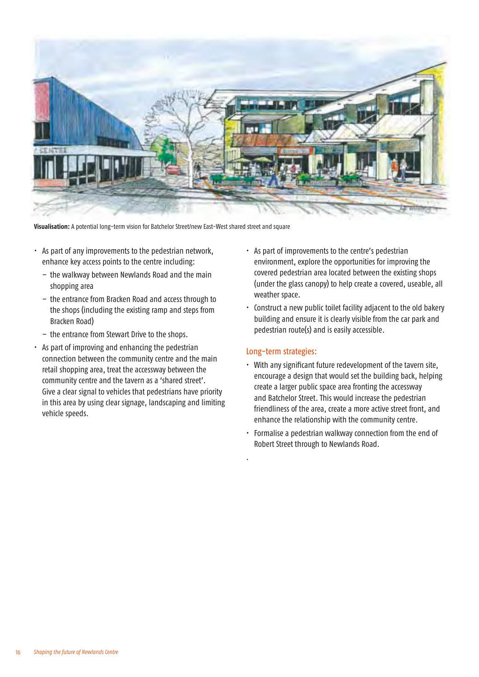

**Visualisation:** A potential long-term vision for Batchelor Street/new East-West shared street and square

- As part of any improvements to the pedestrian network, enhance key access points to the centre including:
	- the walkway between Newlands Road and the main shopping area
	- the entrance from Bracken Road and access through to the shops (including the existing ramp and steps from Bracken Road)
	- the entrance from Stewart Drive to the shops.
- As part of improving and enhancing the pedestrian connection between the community centre and the main retail shopping area, treat the accessway between the community centre and the tavern as a 'shared street'. Give a clear signal to vehicles that pedestrians have priority in this area by using clear signage, landscaping and limiting vehicle speeds.
- As part of improvements to the centre's pedestrian environment, explore the opportunities for improving the covered pedestrian area located between the existing shops (under the glass canopy) to help create a covered, useable, all weather space.
- Construct a new public toilet facility adjacent to the old bakery building and ensure it is clearly visible from the car park and pedestrian route(s) and is easily accessible.

### Long-term strategies:

.

- With any significant future redevelopment of the tavern site, encourage a design that would set the building back, helping create a larger public space area fronting the accessway and Batchelor Street. This would increase the pedestrian friendliness of the area, create a more active street front, and enhance the relationship with the community centre.
- Formalise a pedestrian walkway connection from the end of Robert Street through to Newlands Road.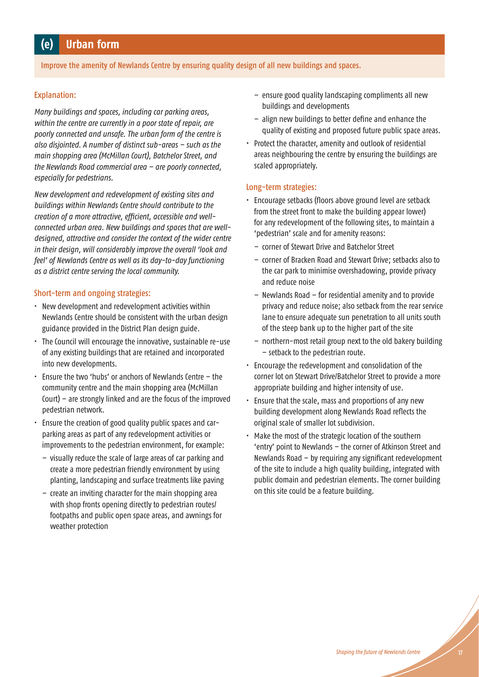# **(e) Urban form**

Improve the amenity of Newlands Centre by ensuring quality design of all new buildings and spaces.

### Explanation:

*Many buildings and spaces, including car parking areas, within the centre are currently in a poor state of repair, are poorly connected and unsafe. The urban form of the centre is also disjointed. A number of distinct sub-areas – such as the main shopping area (McMillan Court), Batchelor Street, and the Newlands Road commercial area – are poorly connected, especially for pedestrians.* 

*New development and redevelopment of existing sites and buildings within Newlands Centre should contribute to the creation of a more attractive, efficient, accessible and wellconnected urban area. New buildings and spaces that are welldesigned, attractive and consider the context of the wider centre in their design, will considerably improve the overall 'look and feel' of Newlands Centre as well as its day-to-day functioning as a district centre serving the local community.* 

### Short-term and ongoing strategies:

- $\cdot$  New development and redevelopment activities within Newlands Centre should be consistent with the urban design guidance provided in the District Plan design guide.
- $\cdot$  The Council will encourage the innovative, sustainable re-use of any existing buildings that are retained and incorporated into new developments.
- Ensure the two 'hubs' or anchors of Newlands Centre  $-$  the community centre and the main shopping area (McMillan Court) – are strongly linked and are the focus of the improved pedestrian network.
- Ensure the creation of good quality public spaces and carparking areas as part of any redevelopment activities or improvements to the pedestrian environment, for example:
	- visually reduce the scale of large areas of car parking and create a more pedestrian friendly environment by using planting, landscaping and surface treatments like paving
	- create an inviting character for the main shopping area with shop fronts opening directly to pedestrian routes/ footpaths and public open space areas, and awnings for weather protection
- ensure good quality landscaping compliments all new buildings and developments
- align new buildings to better define and enhance the quality of existing and proposed future public space areas.
- Protect the character, amenity and outlook of residential areas neighbouring the centre by ensuring the buildings are scaled appropriately.

### Long-term strategies:

- Encourage setbacks (floors above ground level are setback from the street front to make the building appear lower) for any redevelopment of the following sites, to maintain a 'pedestrian' scale and for amenity reasons:
	- corner of Stewart Drive and Batchelor Street
	- corner of Bracken Road and Stewart Drive; setbacks also to the car park to minimise overshadowing, provide privacy and reduce noise
	- Newlands Road for residential amenity and to provide privacy and reduce noise; also setback from the rear service lane to ensure adequate sun penetration to all units south of the steep bank up to the higher part of the site
	- northern-most retail group next to the old bakery building – setback to the pedestrian route.
- $\cdot$  Encourage the redevelopment and consolidation of the corner lot on Stewart Drive/Batchelor Street to provide a more appropriate building and higher intensity of use.
- $\cdot$  Ensure that the scale, mass and proportions of any new building development along Newlands Road reflects the original scale of smaller lot subdivision.
- Make the most of the strategic location of the southern 'entry' point to Newlands - the corner of Atkinson Street and Newlands Road – by requiring any significant redevelopment of the site to include a high quality building, integrated with public domain and pedestrian elements. The corner building on this site could be a feature building.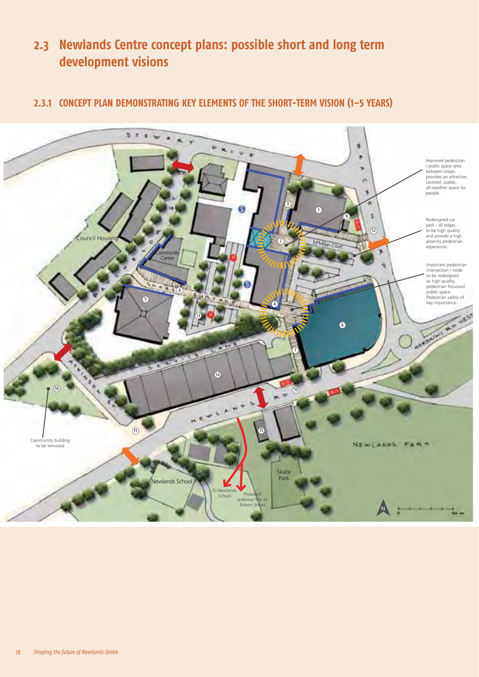# **2.3 Newlands Centre concept plans: possible short and long term development visions**

# **2.3.1 CONCEPT PLAN DEMONSTRATING KEY ELEMENTS OF THE SHORT-TERM VISION (1–5 YEARS)**

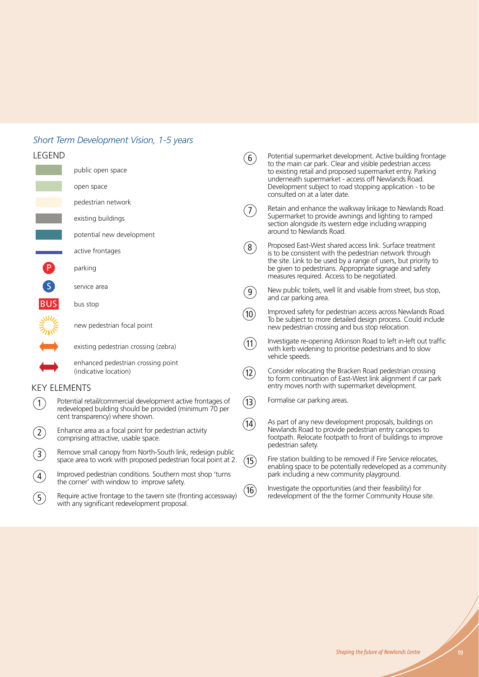# *Short Term Development Vision, 1-5 years*

# LEGEND

| LEGEND              |                                                                                                                             | (6)                    | Potential supermarket development. Active building frontage<br>to the main car park. Clear and visible pedestrian access<br>to existing retail and proposed supermarket entry. Parking<br>underneath supermarket - access off Newlands Road. |
|---------------------|-----------------------------------------------------------------------------------------------------------------------------|------------------------|----------------------------------------------------------------------------------------------------------------------------------------------------------------------------------------------------------------------------------------------|
|                     | public open space                                                                                                           |                        |                                                                                                                                                                                                                                              |
|                     | open space                                                                                                                  |                        | Development subject to road stopping application - to be<br>consulted on at a later date.                                                                                                                                                    |
|                     | pedestrian network                                                                                                          | $\left(7\right)$       | Retain and enhance the walkway linkage to Newlands Road.                                                                                                                                                                                     |
|                     | existing buildings                                                                                                          |                        | Supermarket to provide awnings and lighting to ramped<br>section alongside its western edge including wrapping<br>around to Newlands Road.                                                                                                   |
|                     | potential new development                                                                                                   |                        |                                                                                                                                                                                                                                              |
|                     | active frontages                                                                                                            | (8)                    | Proposed East-West shared access link. Surface treatment<br>is to be consistent with the pedestrian network through<br>the site. Link to be used by a range of users, but priority to                                                        |
|                     | parking                                                                                                                     |                        | be given to pedestrians. Appropriate signage and safety<br>measures required. Access to be negotiated.                                                                                                                                       |
| $\overline{S}$      | service area                                                                                                                | $\left 9\right\rangle$ | New public toilets, well lit and visable from street, bus stop,<br>and car parking area.                                                                                                                                                     |
| <b>BUS</b>          | bus stop                                                                                                                    |                        | Improved safety for pedestrian access across Newlands Road.                                                                                                                                                                                  |
| <b>NIVE</b>         | new pedestrian focal point                                                                                                  | (10)                   | To be subject to more detailed design process. Could include<br>new pedestrian crossing and bus stop relocation.                                                                                                                             |
|                     | existing pedestrian crossing (zebra)                                                                                        | (11)                   | Investigate re-opening Atkinson Road to left in-left out traffic<br>with kerb widening to prioritise pedestrians and to slow<br>vehicle speeds.                                                                                              |
|                     | enhanced pedestrian crossing point<br>(indicative location)                                                                 | (12)                   | Consider relocating the Bracken Road pedestrian crossing<br>to form continuation of East-West link alignment if car park                                                                                                                     |
| <b>KEY ELEMENTS</b> |                                                                                                                             |                        | entry moves north with supermarket development.                                                                                                                                                                                              |
| (1)                 | Potential retail/commercial development active frontages of<br>redeveloped building should be provided (minimum 70 per      |                        | Formalise car parking areas,                                                                                                                                                                                                                 |
|                     | cent transparency) where shown.                                                                                             | (14)                   | As part of any new development proposals, buildings on                                                                                                                                                                                       |
| $\left( 2\right)$   | Enhance area as a focal point for pedestrian activity<br>comprising attractive, usable space.                               |                        | Newlands Road to provide pedestrian entry canopies to<br>footpath. Relocate footpath to front of buildings to improve<br>pedestrian safety.                                                                                                  |
| $\binom{3}{ }$      | Remove small canopy from North-South link, redesign public<br>space area to work with proposed pedestrian focal point at 2. |                        | Fire station building to be removed if Fire Service relocates,                                                                                                                                                                               |
| $\left( 4\right)$   | Improved pedestrian conditions. Southern most shop 'turns<br>the corner' with window to improve safety.                     |                        | enabling space to be potentially redeveloped as a community<br>park including a new community playground.                                                                                                                                    |
| (5)                 | Require active frontage to the tavern site (fronting accessway)<br>with any significant redevelopment proposal.             | (16)                   | Investigate the opportunities (and their feasibility) for<br>redevelopment of the the former Community House site.                                                                                                                           |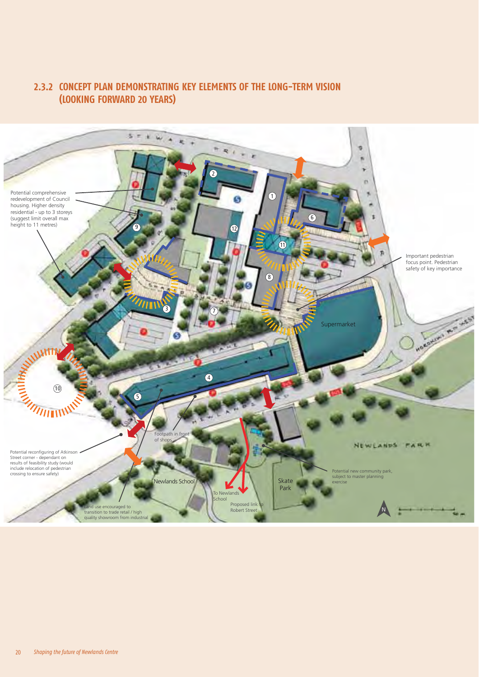## **2.3.2 CONCEPT PLAN DEMONSTRATING KEY ELEMENTS OF THE LONG-TERM VISION (LOOKING FORWARD 20 YEARS)**